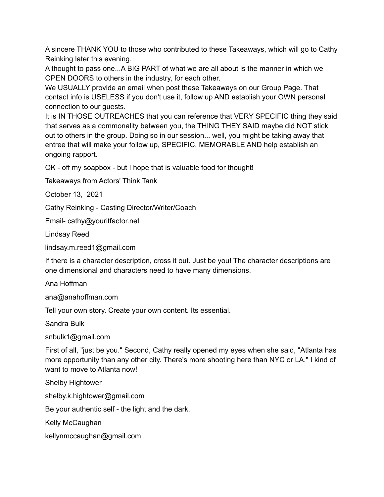A sincere THANK YOU to those who contributed to these Takeaways, which will go to Cathy Reinking later this evening.

A thought to pass one...A BIG PART of what we are all about is the manner in which we OPEN DOORS to others in the industry, for each other.

We USUALLY provide an email when post these Takeaways on our Group Page. That contact info is USELESS if you don't use it, follow up AND establish your OWN personal connection to our guests.

It is IN THOSE OUTREACHES that you can reference that VERY SPECIFIC thing they said that serves as a commonality between you, the THING THEY SAID maybe did NOT stick out to others in the group. Doing so in our session... well, you might be taking away that entree that will make your follow up, SPECIFIC, MEMORABLE AND help establish an ongoing rapport.

OK - off my soapbox - but I hope that is valuable food for thought!

Takeaways from Actors' Think Tank

October 13, 2021

Cathy Reinking - Casting Director/Writer/Coach

Email- cathy@youritfactor.net

Lindsay Reed

lindsay.m.reed1@gmail.com

If there is a character description, cross it out. Just be you! The character descriptions are one dimensional and characters need to have many dimensions.

Ana Hoffman

ana@anahoffman.com

Tell your own story. Create your own content. Its essential.

Sandra Bulk

snbulk1@gmail.com

First of all, "just be you." Second, Cathy really opened my eyes when she said, "Atlanta has more opportunity than any other city. There's more shooting here than NYC or LA." I kind of want to move to Atlanta now!

Shelby Hightower

shelby.k.hightower@gmail.com

Be your authentic self - the light and the dark.

Kelly McCaughan

kellynmccaughan@gmail.com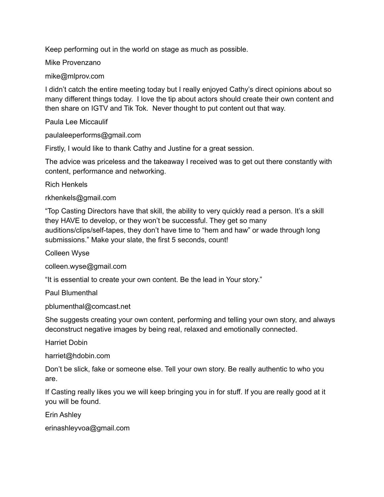Keep performing out in the world on stage as much as possible.

Mike Provenzano

mike@mlprov.com

I didn't catch the entire meeting today but I really enjoyed Cathy's direct opinions about so many different things today. I love the tip about actors should create their own content and then share on IGTV and Tik Tok. Never thought to put content out that way.

Paula Lee Miccaulif

paulaleeperforms@gmail.com

Firstly, I would like to thank Cathy and Justine for a great session.

The advice was priceless and the takeaway I received was to get out there constantly with content, performance and networking.

Rich Henkels

rkhenkels@gmail.com

"Top Casting Directors have that skill, the ability to very quickly read a person. It's a skill they HAVE to develop, or they won't be successful. They get so many auditions/clips/self-tapes, they don't have time to "hem and haw" or wade through long submissions." Make your slate, the first 5 seconds, count!

Colleen Wyse

colleen.wyse@gmail.com

"It is essential to create your own content. Be the lead in Your story."

Paul Blumenthal

pblumenthal@comcast.net

She suggests creating your own content, performing and telling your own story, and always deconstruct negative images by being real, relaxed and emotionally connected.

Harriet Dobin

harriet@hdobin.com

Don't be slick, fake or someone else. Tell your own story. Be really authentic to who you are.

If Casting really likes you we will keep bringing you in for stuff. If you are really good at it you will be found.

Erin Ashley

erinashleyvoa@gmail.com